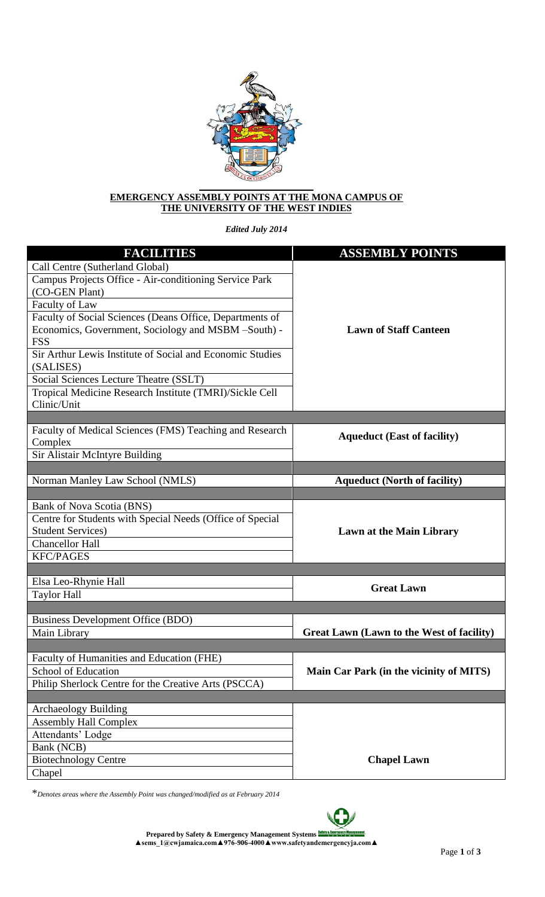

## **EMERGENCY ASSEMBLY POINTS AT THE MONA CAMPUS OF THE UNIVERSITY OF THE WEST INDIES**

*Edited July 2014*

| <b>FACILITIES</b>                                         | <b>ASSEMBLY POINTS</b>                    |
|-----------------------------------------------------------|-------------------------------------------|
| Call Centre (Sutherland Global)                           |                                           |
| Campus Projects Office - Air-conditioning Service Park    |                                           |
| (CO-GEN Plant)                                            |                                           |
| Faculty of Law                                            |                                           |
| Faculty of Social Sciences (Deans Office, Departments of  |                                           |
| Economics, Government, Sociology and MSBM -South) -       | <b>Lawn of Staff Canteen</b>              |
| <b>FSS</b>                                                |                                           |
| Sir Arthur Lewis Institute of Social and Economic Studies |                                           |
| (SALISES)                                                 |                                           |
| Social Sciences Lecture Theatre (SSLT)                    |                                           |
| Tropical Medicine Research Institute (TMRI)/Sickle Cell   |                                           |
| Clinic/Unit                                               |                                           |
|                                                           |                                           |
| Faculty of Medical Sciences (FMS) Teaching and Research   | <b>Aqueduct (East of facility)</b>        |
| Complex                                                   |                                           |
| Sir Alistair McIntyre Building                            |                                           |
|                                                           |                                           |
| Norman Manley Law School (NMLS)                           | <b>Aqueduct (North of facility)</b>       |
|                                                           |                                           |
| Bank of Nova Scotia (BNS)                                 |                                           |
| Centre for Students with Special Needs (Office of Special |                                           |
| <b>Student Services)</b>                                  | <b>Lawn at the Main Library</b>           |
| <b>Chancellor Hall</b>                                    |                                           |
| <b>KFC/PAGES</b>                                          |                                           |
|                                                           |                                           |
| Elsa Leo-Rhynie Hall                                      | <b>Great Lawn</b>                         |
| <b>Taylor Hall</b>                                        |                                           |
| <b>Business Development Office (BDO)</b>                  |                                           |
| Main Library                                              | Great Lawn (Lawn to the West of facility) |
|                                                           |                                           |
| Faculty of Humanities and Education (FHE)                 |                                           |
| School of Education                                       | Main Car Park (in the vicinity of MITS)   |
| Philip Sherlock Centre for the Creative Arts (PSCCA)      |                                           |
|                                                           |                                           |
| <b>Archaeology Building</b>                               |                                           |
| <b>Assembly Hall Complex</b>                              |                                           |
| Attendants' Lodge                                         |                                           |
| Bank (NCB)                                                |                                           |
| <b>Biotechnology Centre</b>                               | <b>Chapel Lawn</b>                        |
| Chapel                                                    |                                           |

\**Denotes areas where the Assembly Point was changed/modified as at February 2014*

**Prepared by Safety & Emergency Management Systems ▲sems\_1@cwjamaica.com▲976-906-4000▲www.safetyandemergencyja.com▲** 

Jт

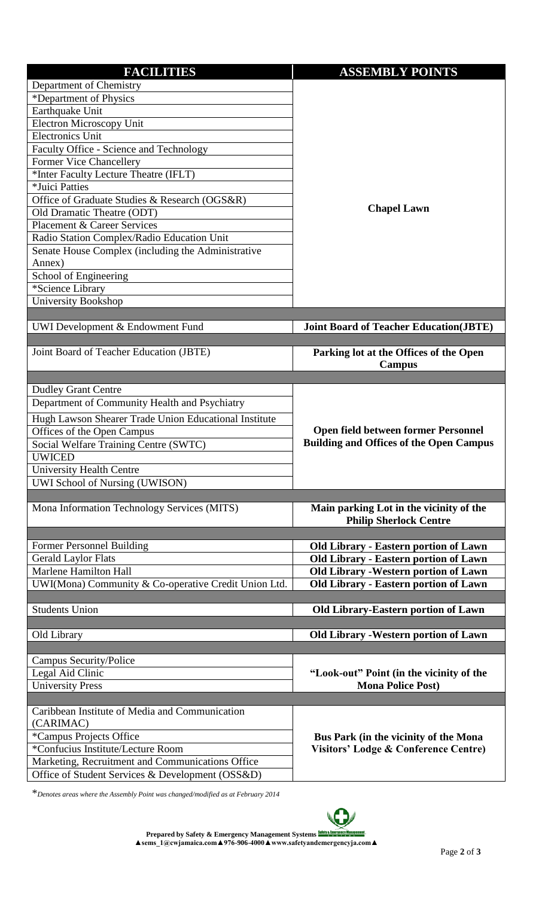| <b>FACILITIES</b>                                     | <b>ASSEMBLY POINTS</b>                                                                   |
|-------------------------------------------------------|------------------------------------------------------------------------------------------|
| Department of Chemistry                               |                                                                                          |
| *Department of Physics                                |                                                                                          |
| Earthquake Unit                                       |                                                                                          |
| <b>Electron Microscopy Unit</b>                       |                                                                                          |
| <b>Electronics Unit</b>                               |                                                                                          |
| Faculty Office - Science and Technology               |                                                                                          |
| <b>Former Vice Chancellery</b>                        |                                                                                          |
| *Inter Faculty Lecture Theatre (IFLT)                 |                                                                                          |
| *Juici Patties                                        |                                                                                          |
| Office of Graduate Studies & Research (OGS&R)         |                                                                                          |
| Old Dramatic Theatre (ODT)                            | <b>Chapel Lawn</b>                                                                       |
| <b>Placement &amp; Career Services</b>                |                                                                                          |
| Radio Station Complex/Radio Education Unit            |                                                                                          |
| Senate House Complex (including the Administrative    |                                                                                          |
| Annex)                                                |                                                                                          |
| School of Engineering                                 |                                                                                          |
| *Science Library                                      |                                                                                          |
| <b>University Bookshop</b>                            |                                                                                          |
|                                                       |                                                                                          |
| UWI Development & Endowment Fund                      | <b>Joint Board of Teacher Education(JBTE)</b>                                            |
| Joint Board of Teacher Education (JBTE)               | Parking lot at the Offices of the Open                                                   |
|                                                       | Campus                                                                                   |
|                                                       |                                                                                          |
| <b>Dudley Grant Centre</b>                            |                                                                                          |
| Department of Community Health and Psychiatry         |                                                                                          |
| Hugh Lawson Shearer Trade Union Educational Institute |                                                                                          |
| Offices of the Open Campus                            | <b>Open field between former Personnel</b>                                               |
| Social Welfare Training Centre (SWTC)                 | <b>Building and Offices of the Open Campus</b>                                           |
| <b>UWICED</b>                                         |                                                                                          |
| <b>University Health Centre</b>                       |                                                                                          |
| UWI School of Nursing (UWISON)                        |                                                                                          |
|                                                       |                                                                                          |
| Mona Information Technology Services (MITS)           | Main parking Lot in the vicinity of the                                                  |
|                                                       | <b>Philip Sherlock Centre</b>                                                            |
|                                                       |                                                                                          |
| Former Personnel Building                             | <b>Old Library - Eastern portion of Lawn</b>                                             |
| <b>Gerald Laylor Flats</b>                            | <b>Old Library - Eastern portion of Lawn</b>                                             |
| Marlene Hamilton Hall                                 | Old Library - Western portion of Lawn                                                    |
| UWI(Mona) Community & Co-operative Credit Union Ltd.  | <b>Old Library - Eastern portion of Lawn</b>                                             |
| <b>Students Union</b>                                 |                                                                                          |
|                                                       | <b>Old Library-Eastern portion of Lawn</b>                                               |
| Old Library                                           | <b>Old Library - Western portion of Lawn</b>                                             |
|                                                       |                                                                                          |
| Campus Security/Police                                |                                                                                          |
| Legal Aid Clinic                                      | "Look-out" Point (in the vicinity of the                                                 |
| <b>University Press</b>                               | <b>Mona Police Post)</b>                                                                 |
|                                                       |                                                                                          |
| Caribbean Institute of Media and Communication        |                                                                                          |
| (CARIMAC)                                             | Bus Park (in the vicinity of the Mona<br><b>Visitors' Lodge &amp; Conference Centre)</b> |
| *Campus Projects Office                               |                                                                                          |
| *Confucius Institute/Lecture Room                     |                                                                                          |
| Marketing, Recruitment and Communications Office      |                                                                                          |
| Office of Student Services & Development (OSS&D)      |                                                                                          |

\**Denotes areas where the Assembly Point was changed/modified as at February 2014*

**Prepared by Safety & Emergency Management Systems ▲sems\_1@cwjamaica.com▲976-906-4000▲www.safetyandemergencyja.com▲** 

C